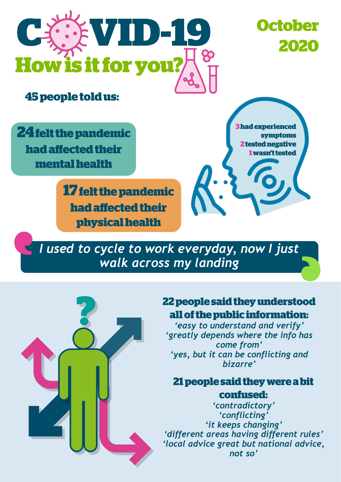

**October** 2020

**45 people told us:** 

**24 felt the pandemic** had affected their mental health

> **17 felt the pandemic** had affected their physical health

**3 had experienced** svmptoms 2 tested negative wasn't tested

*I used to cycle to work everyday, now I just walk across my landing* 



## 22 people said they understood all of the public information:

*'easy to understand and verify' 'greatly depends where the info has come from' 'yes, but it can be conflicting and bizarre'*

## 21 people said they were a bit confused:

*'contradictory' 'conflicting' 'it keeps changing' 'different areas having different rules' 'local advice great but national advice, not so'*